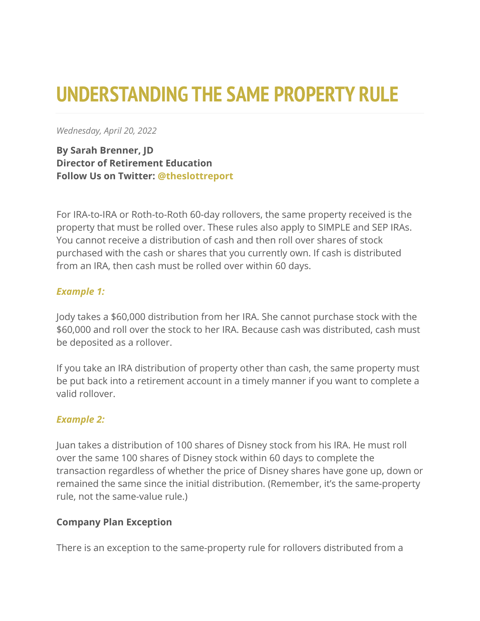# **UNDERSTANDING THE SAME PROPERTY RULE**

*Wednesday, April 20, 2022*

**By Sarah Brenner, JD Director of Retirement Education Follow Us on Twitter: [@theslottreport](https://twitter.com/theslottreport)**

For IRA-to-IRA or Roth-to-Roth 60-day rollovers, the same property received is the property that must be rolled over. These rules also apply to SIMPLE and SEP IRAs. You cannot receive a distribution of cash and then roll over shares of stock purchased with the cash or shares that you currently own. If cash is distributed from an IRA, then cash must be rolled over within 60 days.

### *Example 1:*

Jody takes a \$60,000 distribution from her IRA. She cannot purchase stock with the \$60,000 and roll over the stock to her IRA. Because cash was distributed, cash must be deposited as a rollover.

If you take an IRA distribution of property other than cash, the same property must be put back into a retirement account in a timely manner if you want to complete a valid rollover.

### *Example 2:*

Juan takes a distribution of 100 shares of Disney stock from his IRA. He must roll over the same 100 shares of Disney stock within 60 days to complete the transaction regardless of whether the price of Disney shares have gone up, down or remained the same since the initial distribution. (Remember, it's the same-property rule, not the same-value rule.)

#### **Company Plan Exception**

There is an exception to the same-property rule for rollovers distributed from a